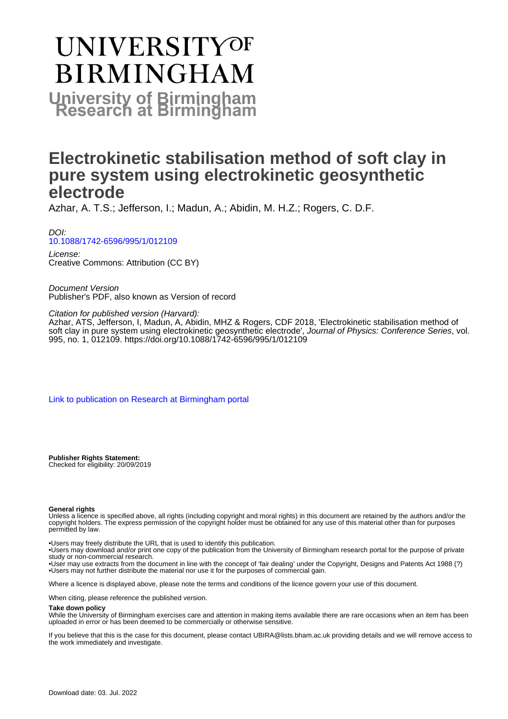# **UNIVERSITYOF BIRMINGHAM University of Birmingham**

## **Electrokinetic stabilisation method of soft clay in pure system using electrokinetic geosynthetic electrode**

Azhar, A. T.S.; Jefferson, I.; Madun, A.; Abidin, M. H.Z.; Rogers, C. D.F.

DOI: [10.1088/1742-6596/995/1/012109](https://doi.org/10.1088/1742-6596/995/1/012109)

License: Creative Commons: Attribution (CC BY)

Document Version Publisher's PDF, also known as Version of record

Citation for published version (Harvard):

Azhar, ATS, Jefferson, I, Madun, A, Abidin, MHZ & Rogers, CDF 2018, 'Electrokinetic stabilisation method of soft clay in pure system using electrokinetic geosynthetic electrode', Journal of Physics: Conference Series, vol. 995, no. 1, 012109. <https://doi.org/10.1088/1742-6596/995/1/012109>

[Link to publication on Research at Birmingham portal](https://birmingham.elsevierpure.com/en/publications/26fce29f-9fe3-4664-967c-a4b2752e95b1)

**Publisher Rights Statement:** Checked for eligibility: 20/09/2019

#### **General rights**

Unless a licence is specified above, all rights (including copyright and moral rights) in this document are retained by the authors and/or the copyright holders. The express permission of the copyright holder must be obtained for any use of this material other than for purposes permitted by law.

• Users may freely distribute the URL that is used to identify this publication.

• Users may download and/or print one copy of the publication from the University of Birmingham research portal for the purpose of private study or non-commercial research.

• User may use extracts from the document in line with the concept of 'fair dealing' under the Copyright, Designs and Patents Act 1988 (?) • Users may not further distribute the material nor use it for the purposes of commercial gain.

Where a licence is displayed above, please note the terms and conditions of the licence govern your use of this document.

When citing, please reference the published version.

#### **Take down policy**

While the University of Birmingham exercises care and attention in making items available there are rare occasions when an item has been uploaded in error or has been deemed to be commercially or otherwise sensitive.

If you believe that this is the case for this document, please contact UBIRA@lists.bham.ac.uk providing details and we will remove access to the work immediately and investigate.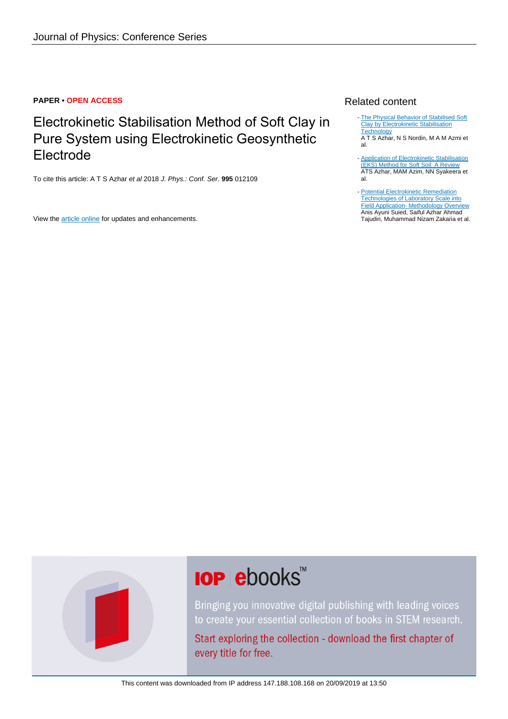#### **PAPER • OPEN ACCESS**

## Electrokinetic Stabilisation Method of Soft Clay in Pure System using Electrokinetic Geosynthetic Electrode

To cite this article: A T S Azhar et al 2018 J. Phys.: Conf. Ser. **995** 012109

View the [article online](https://doi.org/10.1088/1742-6596/995/1/012109) for updates and enhancements.

### Related content

- [The Physical Behavior of Stabilised Soft](http://iopscience.iop.org/article/10.1088/1742-6596/995/1/012111) [Clay by Electrokinetic Stabilisation](http://iopscience.iop.org/article/10.1088/1742-6596/995/1/012111) **[Technology](http://iopscience.iop.org/article/10.1088/1742-6596/995/1/012111)**
- A T S Azhar, N S Nordin, M A M Azmi et al.
- [Application of Electrokinetic Stabilisation](http://iopscience.iop.org/article/10.1088/1757-899X/226/1/012075) [\(EKS\) Method for Soft Soil: A Review](http://iopscience.iop.org/article/10.1088/1757-899X/226/1/012075) ATS Azhar, MAM Azim, NN Syakeera et al. -
- [Potential Electrokinetic Remediation](http://iopscience.iop.org/article/10.1088/1742-6596/995/1/012083) [Technologies of Laboratory Scale into](http://iopscience.iop.org/article/10.1088/1742-6596/995/1/012083) [Field Application- Methodology Overview](http://iopscience.iop.org/article/10.1088/1742-6596/995/1/012083) Anis Ayuni Suied, Saiful Azhar Ahmad Tajudin, Muhammad Nizam Zakaria et al.



## **IOP ebooks**™

Bringing you innovative digital publishing with leading voices to create your essential collection of books in STEM research.

Start exploring the collection - download the first chapter of every title for free.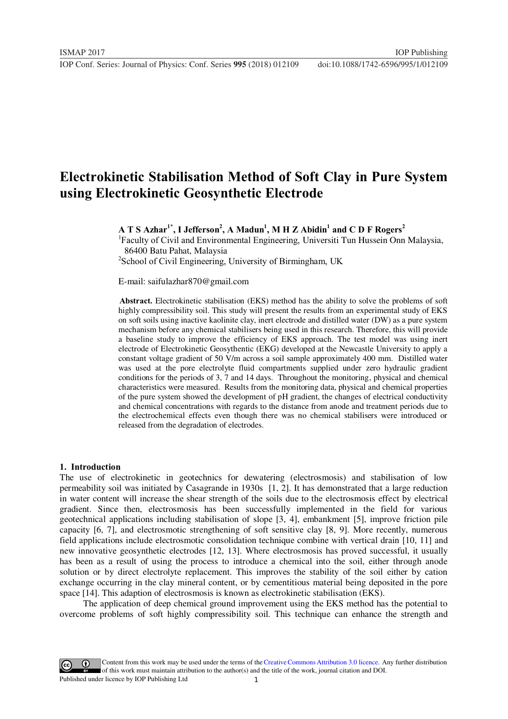### **Electrokinetic Stabilisation Method of Soft Clay in Pure System using Electrokinetic Geosynthetic Electrode**

 $\mathbf{A} \mathbf{T} \mathbf{S}$  Azhar $^{1^*}$ , I Jefferson $^2$ , A Madun $^1$ , M H Z Abidin $^1$  and C D F Rogers $^2$ 

<sup>1</sup>Faculty of Civil and Environmental Engineering, Universiti Tun Hussein Onn Malaysia, 86400 Batu Pahat, Malaysia

2 School of Civil Engineering, University of Birmingham, UK

E-mail: saifulazhar870@gmail.com

 **Abstract.** Electrokinetic stabilisation (EKS) method has the ability to solve the problems of soft highly compressibility soil. This study will present the results from an experimental study of EKS on soft soils using inactive kaolinite clay, inert electrode and distilled water (DW) as a pure system mechanism before any chemical stabilisers being used in this research. Therefore, this will provide a baseline study to improve the efficiency of EKS approach. The test model was using inert electrode of Electrokinetic Geosythentic (EKG) developed at the Newcastle University to apply a constant voltage gradient of 50 V/m across a soil sample approximately 400 mm. Distilled water was used at the pore electrolyte fluid compartments supplied under zero hydraulic gradient conditions for the periods of 3, 7 and 14 days. Throughout the monitoring, physical and chemical characteristics were measured. Results from the monitoring data, physical and chemical properties of the pure system showed the development of pH gradient, the changes of electrical conductivity and chemical concentrations with regards to the distance from anode and treatment periods due to the electrochemical effects even though there was no chemical stabilisers were introduced or released from the degradation of electrodes.

#### **1. Introduction**

The use of electrokinetic in geotechnics for dewatering (electrosmosis) and stabilisation of low permeability soil was initiated by Casagrande in 1930s [1, 2]. It has demonstrated that a large reduction in water content will increase the shear strength of the soils due to the electrosmosis effect by electrical gradient. Since then, electrosmosis has been successfully implemented in the field for various geotechnical applications including stabilisation of slope [3, 4], embankment [5], improve friction pile capacity [6, 7], and electrosmotic strengthening of soft sensitive clay [8, 9]. More recently, numerous field applications include electrosmotic consolidation technique combine with vertical drain [10, 11] and new innovative geosynthetic electrodes [12, 13]. Where electrosmosis has proved successful, it usually has been as a result of using the process to introduce a chemical into the soil, either through anode solution or by direct electrolyte replacement. This improves the stability of the soil either by cation exchange occurring in the clay mineral content, or by cementitious material being deposited in the pore space [14]. This adaption of electrosmosis is known as electrokinetic stabilisation (EKS).

The application of deep chemical ground improvement using the EKS method has the potential to overcome problems of soft highly compressibility soil. This technique can enhance the strength and

1 Content from this work may be used under the terms of the[Creative Commons Attribution 3.0 licence.](http://creativecommons.org/licenses/by/3.0) Any further distribution of this work must maintain attribution to the author(s) and the title of the work, journal citation and DOI. Published under licence by IOP Publishing Ltd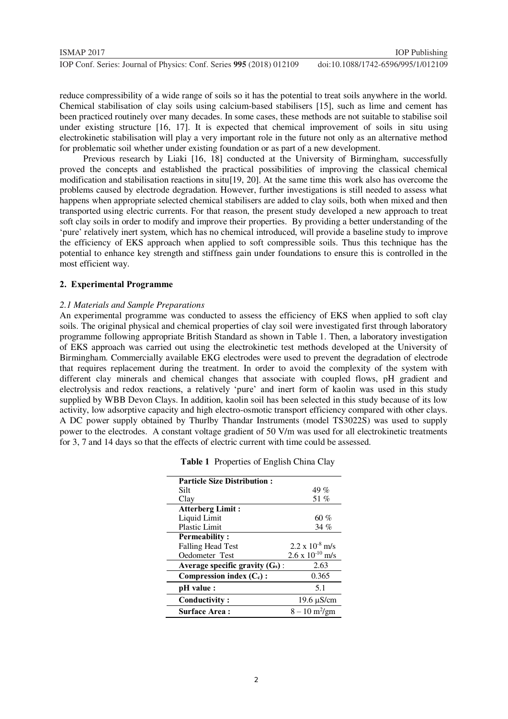| ISMAP 2017                                                           | <b>IOP</b> Publishing              |
|----------------------------------------------------------------------|------------------------------------|
| IOP Conf. Series: Journal of Physics: Conf. Series 995 (2018) 012109 | doi:10.1088/1742-6596/995/1/012109 |

reduce compressibility of a wide range of soils so it has the potential to treat soils anywhere in the world. Chemical stabilisation of clay soils using calcium-based stabilisers [15], such as lime and cement has been practiced routinely over many decades. In some cases, these methods are not suitable to stabilise soil under existing structure [16, 17]. It is expected that chemical improvement of soils in situ using electrokinetic stabilisation will play a very important role in the future not only as an alternative method for problematic soil whether under existing foundation or as part of a new development.

Previous research by Liaki [16, 18] conducted at the University of Birmingham, successfully proved the concepts and established the practical possibilities of improving the classical chemical modification and stabilisation reactions in situ[19, 20]. At the same time this work also has overcome the problems caused by electrode degradation. However, further investigations is still needed to assess what happens when appropriate selected chemical stabilisers are added to clay soils, both when mixed and then transported using electric currents. For that reason, the present study developed a new approach to treat soft clay soils in order to modify and improve their properties. By providing a better understanding of the 'pure' relatively inert system, which has no chemical introduced, will provide a baseline study to improve the efficiency of EKS approach when applied to soft compressible soils. Thus this technique has the potential to enhance key strength and stiffness gain under foundations to ensure this is controlled in the most efficient way.

#### **2. Experimental Programme**

#### *2.1 Materials and Sample Preparations*

An experimental programme was conducted to assess the efficiency of EKS when applied to soft clay soils. The original physical and chemical properties of clay soil were investigated first through laboratory programme following appropriate British Standard as shown in Table 1. Then, a laboratory investigation of EKS approach was carried out using the electrokinetic test methods developed at the University of Birmingham. Commercially available EKG electrodes were used to prevent the degradation of electrode that requires replacement during the treatment. In order to avoid the complexity of the system with different clay minerals and chemical changes that associate with coupled flows, pH gradient and electrolysis and redox reactions, a relatively 'pure' and inert form of kaolin was used in this study supplied by WBB Devon Clays. In addition, kaolin soil has been selected in this study because of its low activity, low adsorptive capacity and high electro-osmotic transport efficiency compared with other clays. A DC power supply obtained by Thurlby Thandar Instruments (model TS3022S) was used to supply power to the electrodes. A constant voltage gradient of 50 V/m was used for all electrokinetic treatments for 3, 7 and 14 days so that the effects of electric current with time could be assessed.

| <b>Particle Size Distribution:</b> |                                |
|------------------------------------|--------------------------------|
| Silt                               | 49 %                           |
| Clay                               | 51 %                           |
| <b>Atterberg Limit:</b>            |                                |
| Liquid Limit                       | 60%                            |
| <b>Plastic Limit</b>               | 34%                            |
| <b>Permeability:</b>               |                                |
| <b>Falling Head Test</b>           | $2.2 \times 10^{-8}$ m/s       |
| Oedometer Test                     | $2.6 \times 10^{-10}$ m/s      |
| Average specific gravity $(G_s)$ : | 2.63                           |
| Compression index $(C_c)$ :        | 0.365                          |
| pH value :                         | 5.1                            |
| Conductivity:                      | $19.6 \mu S/cm$                |
| Surface Area:                      | $8 - 10 \text{ m}^2/\text{gm}$ |

| Table 1 Properties of English China Clay |
|------------------------------------------|
|------------------------------------------|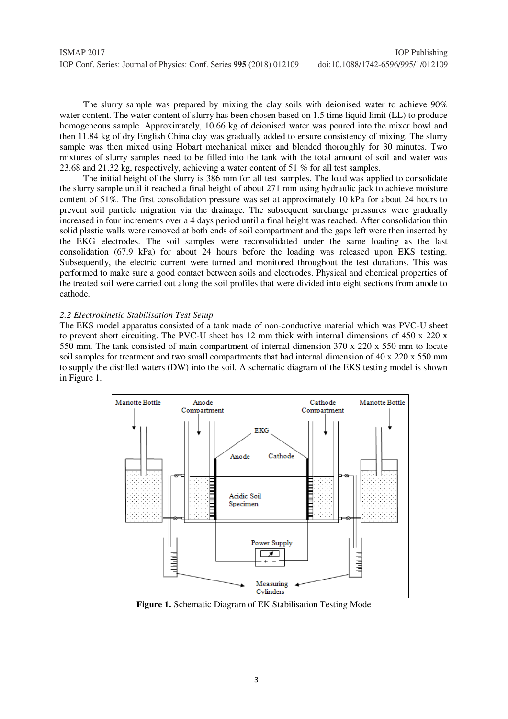| <b>ISMAP 2017</b>                                                    | <b>IOP</b> Publishing              |
|----------------------------------------------------------------------|------------------------------------|
| IOP Conf. Series: Journal of Physics: Conf. Series 995 (2018) 012109 | doi:10.1088/1742-6596/995/1/012109 |

The slurry sample was prepared by mixing the clay soils with deionised water to achieve 90% water content. The water content of slurry has been chosen based on 1.5 time liquid limit (LL) to produce homogeneous sample. Approximately, 10.66 kg of deionised water was poured into the mixer bowl and then 11.84 kg of dry English China clay was gradually added to ensure consistency of mixing. The slurry sample was then mixed using Hobart mechanical mixer and blended thoroughly for 30 minutes. Two mixtures of slurry samples need to be filled into the tank with the total amount of soil and water was 23.68 and 21.32 kg, respectively, achieving a water content of 51 % for all test samples.

The initial height of the slurry is 386 mm for all test samples. The load was applied to consolidate the slurry sample until it reached a final height of about 271 mm using hydraulic jack to achieve moisture content of 51%. The first consolidation pressure was set at approximately 10 kPa for about 24 hours to prevent soil particle migration via the drainage. The subsequent surcharge pressures were gradually increased in four increments over a 4 days period until a final height was reached. After consolidation thin solid plastic walls were removed at both ends of soil compartment and the gaps left were then inserted by the EKG electrodes. The soil samples were reconsolidated under the same loading as the last consolidation (67.9 kPa) for about 24 hours before the loading was released upon EKS testing. Subsequently, the electric current were turned and monitored throughout the test durations. This was performed to make sure a good contact between soils and electrodes. Physical and chemical properties of the treated soil were carried out along the soil profiles that were divided into eight sections from anode to cathode.

#### *2.2 Electrokinetic Stabilisation Test Setup*

The EKS model apparatus consisted of a tank made of non-conductive material which was PVC-U sheet to prevent short circuiting. The PVC-U sheet has 12 mm thick with internal dimensions of 450 x 220 x 550 mm. The tank consisted of main compartment of internal dimension 370 x 220 x 550 mm to locate soil samples for treatment and two small compartments that had internal dimension of 40 x 220 x 550 mm to supply the distilled waters (DW) into the soil. A schematic diagram of the EKS testing model is shown in Figure 1.



**Figure 1.** Schematic Diagram of EK Stabilisation Testing Mode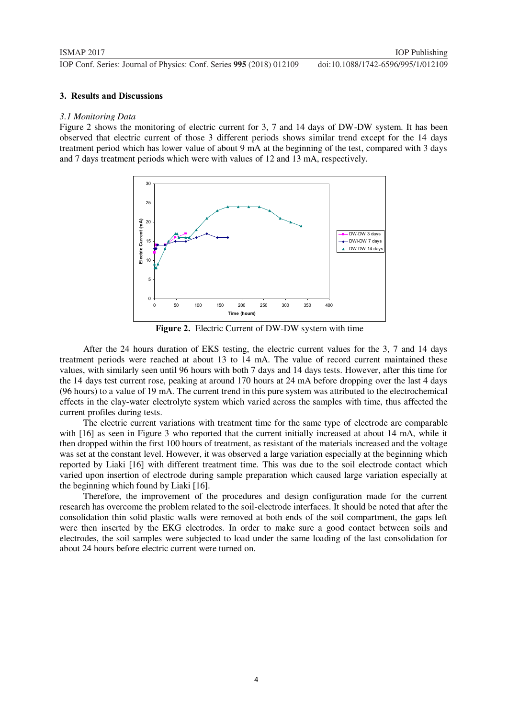#### **3. Results and Discussions**

#### *3.1 Monitoring Data*

Figure 2 shows the monitoring of electric current for 3, 7 and 14 days of DW-DW system. It has been observed that electric current of those 3 different periods shows similar trend except for the 14 days treatment period which has lower value of about 9 mA at the beginning of the test, compared with 3 days and 7 days treatment periods which were with values of 12 and 13 mA, respectively.



**Figure 2.** Electric Current of DW-DW system with time

After the 24 hours duration of EKS testing, the electric current values for the 3, 7 and 14 days treatment periods were reached at about 13 to 14 mA. The value of record current maintained these values, with similarly seen until 96 hours with both 7 days and 14 days tests. However, after this time for the 14 days test current rose, peaking at around 170 hours at 24 mA before dropping over the last 4 days (96 hours) to a value of 19 mA. The current trend in this pure system was attributed to the electrochemical effects in the clay-water electrolyte system which varied across the samples with time, thus affected the current profiles during tests.

The electric current variations with treatment time for the same type of electrode are comparable with [16] as seen in Figure 3 who reported that the current initially increased at about 14 mA, while it then dropped within the first 100 hours of treatment, as resistant of the materials increased and the voltage was set at the constant level. However, it was observed a large variation especially at the beginning which reported by Liaki [16] with different treatment time. This was due to the soil electrode contact which varied upon insertion of electrode during sample preparation which caused large variation especially at the beginning which found by Liaki [16].

Therefore, the improvement of the procedures and design configuration made for the current research has overcome the problem related to the soil-electrode interfaces. It should be noted that after the consolidation thin solid plastic walls were removed at both ends of the soil compartment, the gaps left were then inserted by the EKG electrodes. In order to make sure a good contact between soils and electrodes, the soil samples were subjected to load under the same loading of the last consolidation for about 24 hours before electric current were turned on.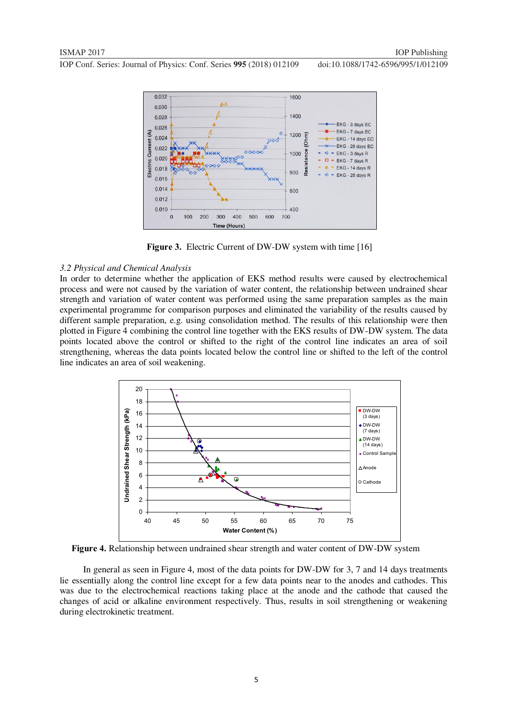

Figure 3. Electric Current of DW-DW system with time [16]

#### *3.2 Physical and Chemical Analysis*

In order to determine whether the application of EKS method results were caused by electrochemical process and were not caused by the variation of water content, the relationship between undrained shear strength and variation of water content was performed using the same preparation samples as the main experimental programme for comparison purposes and eliminated the variability of the results caused by different sample preparation, e.g. using consolidation method. The results of this relationship were then plotted in Figure 4 combining the control line together with the EKS results of DW-DW system. The data points located above the control or shifted to the right of the control line indicates an area of soil strengthening, whereas the data points located below the control line or shifted to the left of the control line indicates an area of soil weakening.



**Figure 4.** Relationship between undrained shear strength and water content of DW-DW system

In general as seen in Figure 4, most of the data points for DW-DW for 3, 7 and 14 days treatments lie essentially along the control line except for a few data points near to the anodes and cathodes. This was due to the electrochemical reactions taking place at the anode and the cathode that caused the changes of acid or alkaline environment respectively. Thus, results in soil strengthening or weakening during electrokinetic treatment.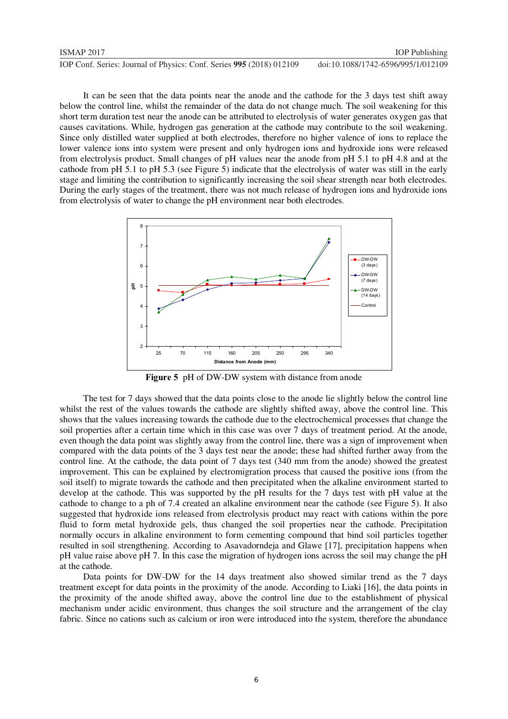It can be seen that the data points near the anode and the cathode for the 3 days test shift away below the control line, whilst the remainder of the data do not change much. The soil weakening for this short term duration test near the anode can be attributed to electrolysis of water generates oxygen gas that causes cavitations. While, hydrogen gas generation at the cathode may contribute to the soil weakening. Since only distilled water supplied at both electrodes, therefore no higher valence of ions to replace the lower valence ions into system were present and only hydrogen ions and hydroxide ions were released from electrolysis product. Small changes of pH values near the anode from pH 5.1 to pH 4.8 and at the cathode from pH 5.1 to pH 5.3 (see Figure 5) indicate that the electrolysis of water was still in the early stage and limiting the contribution to significantly increasing the soil shear strength near both electrodes. During the early stages of the treatment, there was not much release of hydrogen ions and hydroxide ions from electrolysis of water to change the pH environment near both electrodes.



**Figure 5** pH of DW-DW system with distance from anode

The test for 7 days showed that the data points close to the anode lie slightly below the control line whilst the rest of the values towards the cathode are slightly shifted away, above the control line. This shows that the values increasing towards the cathode due to the electrochemical processes that change the soil properties after a certain time which in this case was over 7 days of treatment period. At the anode, even though the data point was slightly away from the control line, there was a sign of improvement when compared with the data points of the 3 days test near the anode; these had shifted further away from the control line. At the cathode, the data point of 7 days test (340 mm from the anode) showed the greatest improvement. This can be explained by electromigration process that caused the positive ions (from the soil itself) to migrate towards the cathode and then precipitated when the alkaline environment started to develop at the cathode. This was supported by the pH results for the 7 days test with pH value at the cathode to change to a ph of 7.4 created an alkaline environment near the cathode (see Figure 5). It also suggested that hydroxide ions released from electrolysis product may react with cations within the pore fluid to form metal hydroxide gels, thus changed the soil properties near the cathode. Precipitation normally occurs in alkaline environment to form cementing compound that bind soil particles together resulted in soil strengthening. According to Asavadorndeja and Glawe [17], precipitation happens when pH value raise above pH 7. In this case the migration of hydrogen ions across the soil may change the pH at the cathode.

Data points for DW-DW for the 14 days treatment also showed similar trend as the 7 days treatment except for data points in the proximity of the anode. According to Liaki [16], the data points in the proximity of the anode shifted away, above the control line due to the establishment of physical mechanism under acidic environment, thus changes the soil structure and the arrangement of the clay fabric. Since no cations such as calcium or iron were introduced into the system, therefore the abundance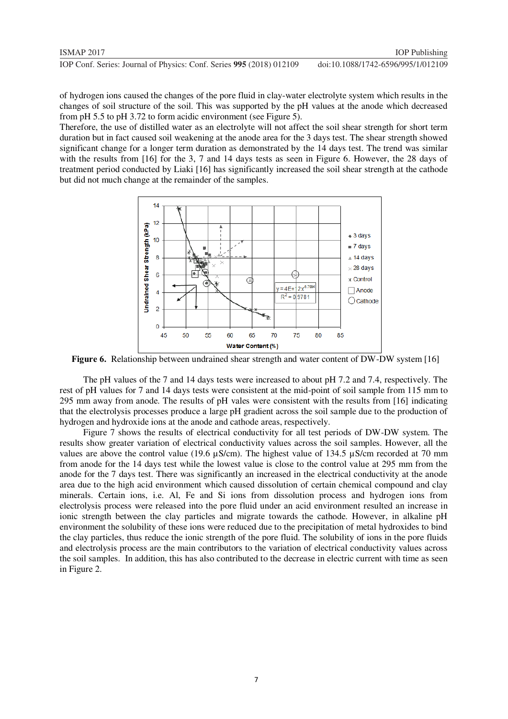of hydrogen ions caused the changes of the pore fluid in clay-water electrolyte system which results in the changes of soil structure of the soil. This was supported by the pH values at the anode which decreased from pH 5.5 to pH 3.72 to form acidic environment (see Figure 5).

Therefore, the use of distilled water as an electrolyte will not affect the soil shear strength for short term duration but in fact caused soil weakening at the anode area for the 3 days test. The shear strength showed significant change for a longer term duration as demonstrated by the 14 days test. The trend was similar with the results from [16] for the 3, 7 and 14 days tests as seen in Figure 6. However, the 28 days of treatment period conducted by Liaki [16] has significantly increased the soil shear strength at the cathode but did not much change at the remainder of the samples.



**Figure 6.** Relationship between undrained shear strength and water content of DW-DW system [16]

The pH values of the 7 and 14 days tests were increased to about pH 7.2 and 7.4, respectively. The rest of pH values for 7 and 14 days tests were consistent at the mid-point of soil sample from 115 mm to 295 mm away from anode. The results of pH vales were consistent with the results from [16] indicating that the electrolysis processes produce a large pH gradient across the soil sample due to the production of hydrogen and hydroxide ions at the anode and cathode areas, respectively.

Figure 7 shows the results of electrical conductivity for all test periods of DW-DW system. The results show greater variation of electrical conductivity values across the soil samples. However, all the values are above the control value (19.6 µS/cm). The highest value of 134.5 µS/cm recorded at 70 mm from anode for the 14 days test while the lowest value is close to the control value at 295 mm from the anode for the 7 days test. There was significantly an increased in the electrical conductivity at the anode area due to the high acid environment which caused dissolution of certain chemical compound and clay minerals. Certain ions, i.e. Al, Fe and Si ions from dissolution process and hydrogen ions from electrolysis process were released into the pore fluid under an acid environment resulted an increase in ionic strength between the clay particles and migrate towards the cathode. However, in alkaline pH environment the solubility of these ions were reduced due to the precipitation of metal hydroxides to bind the clay particles, thus reduce the ionic strength of the pore fluid. The solubility of ions in the pore fluids and electrolysis process are the main contributors to the variation of electrical conductivity values across the soil samples. In addition, this has also contributed to the decrease in electric current with time as seen in Figure 2.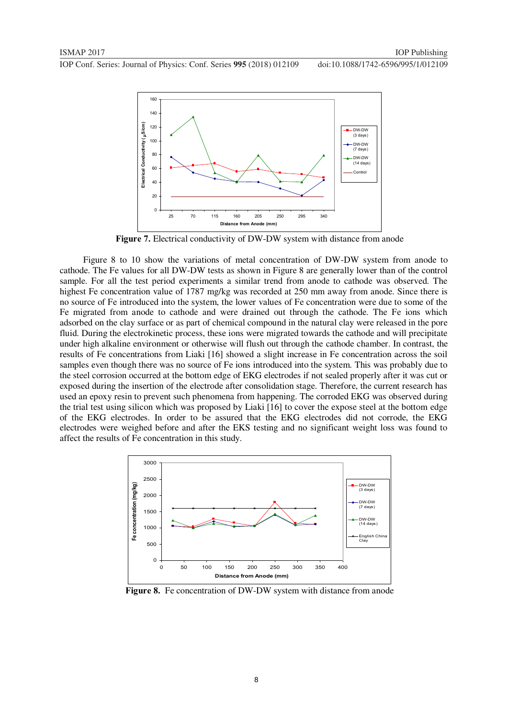

**Figure 7.** Electrical conductivity of DW-DW system with distance from anode

Figure 8 to 10 show the variations of metal concentration of DW-DW system from anode to cathode. The Fe values for all DW-DW tests as shown in Figure 8 are generally lower than of the control sample. For all the test period experiments a similar trend from anode to cathode was observed. The highest Fe concentration value of 1787 mg/kg was recorded at 250 mm away from anode. Since there is no source of Fe introduced into the system, the lower values of Fe concentration were due to some of the Fe migrated from anode to cathode and were drained out through the cathode. The Fe ions which adsorbed on the clay surface or as part of chemical compound in the natural clay were released in the pore fluid. During the electrokinetic process, these ions were migrated towards the cathode and will precipitate under high alkaline environment or otherwise will flush out through the cathode chamber. In contrast, the results of Fe concentrations from Liaki [16] showed a slight increase in Fe concentration across the soil samples even though there was no source of Fe ions introduced into the system. This was probably due to the steel corrosion occurred at the bottom edge of EKG electrodes if not sealed properly after it was cut or exposed during the insertion of the electrode after consolidation stage. Therefore, the current research has used an epoxy resin to prevent such phenomena from happening. The corroded EKG was observed during the trial test using silicon which was proposed by Liaki [16] to cover the expose steel at the bottom edge of the EKG electrodes. In order to be assured that the EKG electrodes did not corrode, the EKG electrodes were weighed before and after the EKS testing and no significant weight loss was found to affect the results of Fe concentration in this study.



Figure 8. Fe concentration of DW-DW system with distance from anode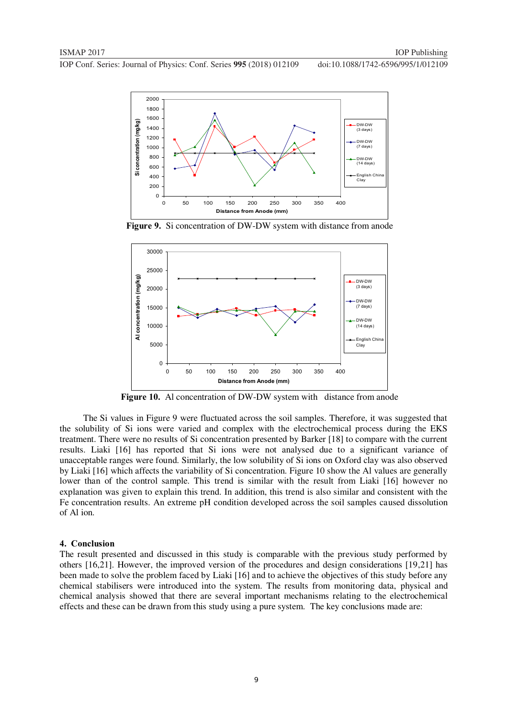

**Figure 9.** Si concentration of DW-DW system with distance from anode



**Figure 10.** Al concentration of DW-DW system with distance from anode

The Si values in Figure 9 were fluctuated across the soil samples. Therefore, it was suggested that the solubility of Si ions were varied and complex with the electrochemical process during the EKS treatment. There were no results of Si concentration presented by Barker [18] to compare with the current results. Liaki [16] has reported that Si ions were not analysed due to a significant variance of unacceptable ranges were found. Similarly, the low solubility of Si ions on Oxford clay was also observed by Liaki [16] which affects the variability of Si concentration. Figure 10 show the Al values are generally lower than of the control sample. This trend is similar with the result from Liaki [16] however no explanation was given to explain this trend. In addition, this trend is also similar and consistent with the Fe concentration results. An extreme pH condition developed across the soil samples caused dissolution of Al ion.

#### **4. Conclusion**

The result presented and discussed in this study is comparable with the previous study performed by others [16,21]. However, the improved version of the procedures and design considerations [19,21] has been made to solve the problem faced by Liaki [16] and to achieve the objectives of this study before any chemical stabilisers were introduced into the system. The results from monitoring data, physical and chemical analysis showed that there are several important mechanisms relating to the electrochemical effects and these can be drawn from this study using a pure system. The key conclusions made are: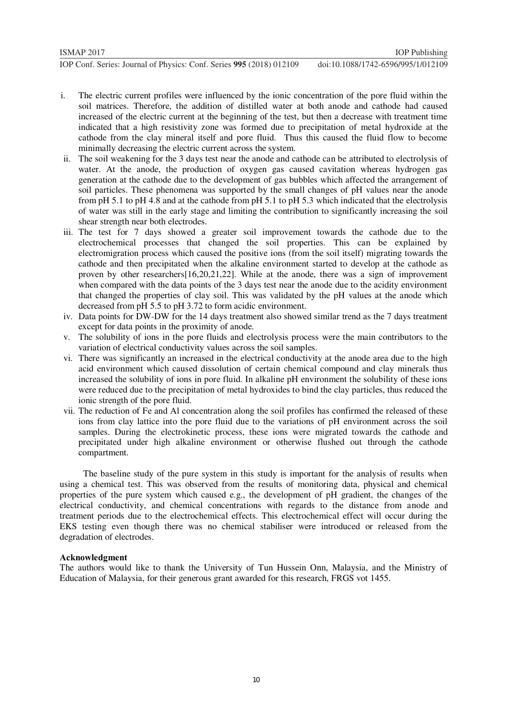- i. The electric current profiles were influenced by the ionic concentration of the pore fluid within the soil matrices. Therefore, the addition of distilled water at both anode and cathode had caused increased of the electric current at the beginning of the test, but then a decrease with treatment time indicated that a high resistivity zone was formed due to precipitation of metal hydroxide at the cathode from the clay mineral itself and pore fluid. Thus this caused the fluid flow to become minimally decreasing the electric current across the system.
- ii. The soil weakening for the 3 days test near the anode and cathode can be attributed to electrolysis of water. At the anode, the production of oxygen gas caused cavitation whereas hydrogen gas generation at the cathode due to the development of gas bubbles which affected the arrangement of soil particles. These phenomena was supported by the small changes of pH values near the anode from pH 5.1 to pH 4.8 and at the cathode from pH 5.1 to pH 5.3 which indicated that the electrolysis of water was still in the early stage and limiting the contribution to significantly increasing the soil shear strength near both electrodes.
- iii. The test for 7 days showed a greater soil improvement towards the cathode due to the electrochemical processes that changed the soil properties. This can be explained by electromigration process which caused the positive ions (from the soil itself) migrating towards the cathode and then precipitated when the alkaline environment started to develop at the cathode as proven by other researchers[16,20,21,22]. While at the anode, there was a sign of improvement when compared with the data points of the 3 days test near the anode due to the acidity environment that changed the properties of clay soil. This was validated by the pH values at the anode which decreased from pH 5.5 to pH 3.72 to form acidic environment.
- iv. Data points for DW-DW for the 14 days treatment also showed similar trend as the 7 days treatment except for data points in the proximity of anode.
- v. The solubility of ions in the pore fluids and electrolysis process were the main contributors to the variation of electrical conductivity values across the soil samples.
- vi. There was significantly an increased in the electrical conductivity at the anode area due to the high acid environment which caused dissolution of certain chemical compound and clay minerals thus increased the solubility of ions in pore fluid. In alkaline pH environment the solubility of these ions were reduced due to the precipitation of metal hydroxides to bind the clay particles, thus reduced the ionic strength of the pore fluid.
- vii. The reduction of Fe and Al concentration along the soil profiles has confirmed the released of these ions from clay lattice into the pore fluid due to the variations of pH environment across the soil samples. During the electrokinetic process, these ions were migrated towards the cathode and precipitated under high alkaline environment or otherwise flushed out through the cathode compartment.

The baseline study of the pure system in this study is important for the analysis of results when using a chemical test. This was observed from the results of monitoring data, physical and chemical properties of the pure system which caused e.g., the development of pH gradient, the changes of the electrical conductivity, and chemical concentrations with regards to the distance from anode and treatment periods due to the electrochemical effects. This electrochemical effect will occur during the EKS testing even though there was no chemical stabiliser were introduced or released from the degradation of electrodes.

#### **Acknowledgment**

The authors would like to thank the University of Tun Hussein Onn, Malaysia, and the Ministry of Education of Malaysia, for their generous grant awarded for this research, FRGS vot 1455.